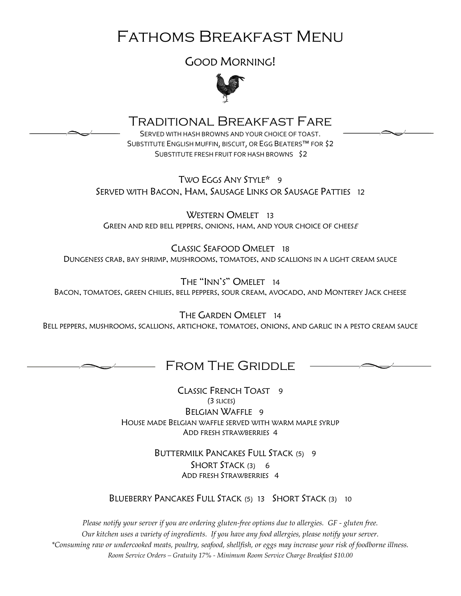# Fathoms Breakfast Menu

GOOD MORNING!



#### Traditional Breakfast Fare

SERVED WITH HASH BROWNS AND YOUR CHOICE OF TOAST. SUBSTITUTE ENGLISH MUFFIN, BISCUIT, OR EGG BEATERS™ FOR \$2 SUBSTITUTE FRESH FRUIT FOR HASH BROWNS \$2

TWO EGGS ANY STYLE\* 9 SERVED WITH BACON, HAM, SAUSAGE LINKS OR SAUSAGE PATTIES 12

WESTERN OMELET 13 GREEN AND RED BELL PEPPERS, ONIONS, HAM, AND YOUR CHOICE OF CHEESE

CLASSIC SEAFOOD OMELET 18 DUNGENESS CRAB, BAY SHRIMP, MUSHROOMS, TOMATOES, AND SCALLIONS IN A LIGHT CREAM SAUCE

THE "INN'S" OMELET 14 BACON, TOMATOES, GREEN CHILIES, BELL PEPPERS, SOUR CREAM, AVOCADO, AND MONTEREY JACK CHEESE

THE GARDEN OMELET 14 BELL PEPPERS, MUSHROOMS, SCALLIONS, ARTICHOKE, TOMATOES, ONIONS, AND GARLIC IN A PESTO CREAM SAUCE

#### FROM THE GRIDDLE

CLASSIC FRENCH TOAST 9 (3 SLICES) BELGIAN WAFFLE 9 HOUSE MADE BELGIAN WAFFLE SERVED WITH WARM MAPLE SYRUP ADD FRESH STRAWBERRIES 4

> BUTTERMILK PANCAKES FULL STACK (5) 9 SHORT STACK (3) 6 ADD FRESH STRAWBERRIES 4

BLUEBERRY PANCAKES FULL STACK (5) 13 SHORT STACK (3) 10

*Please notify your server if you are ordering gluten-free options due to allergies. GF - gluten free. Our kitchen uses a variety of ingredients. If you have any food allergies, please notify your server. \*Consuming raw or undercooked meats, poultry, seafood, shellfish, or eggs may increase your risk of foodborne illness. Room Service Orders – Gratuity 17% - Minimum Room Service Charge Breakfast \$10.00*